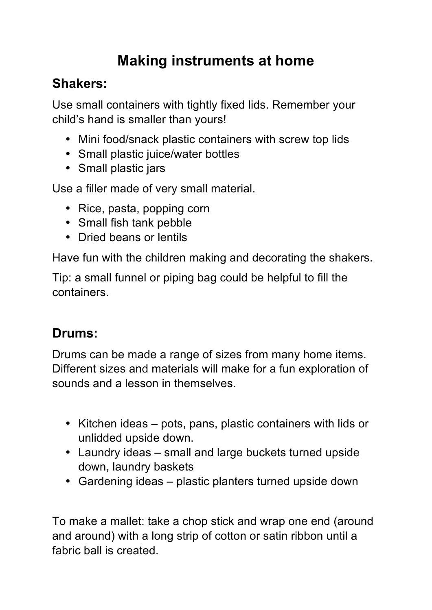# **Making instruments at home**

#### **Shakers:**

Use small containers with tightly fixed lids. Remember your child's hand is smaller than yours!

- Mini food/snack plastic containers with screw top lids
- Small plastic juice/water bottles
- Small plastic jars

Use a filler made of very small material.

- Rice, pasta, popping corn
- Small fish tank pebble
- Dried beans or lentils

Have fun with the children making and decorating the shakers.

Tip: a small funnel or piping bag could be helpful to fill the containers.

## **Drums:**

Drums can be made a range of sizes from many home items. Different sizes and materials will make for a fun exploration of sounds and a lesson in themselves.

- Kitchen ideas pots, pans, plastic containers with lids or unlidded upside down.
- Laundry ideas small and large buckets turned upside down, laundry baskets
- Gardening ideas plastic planters turned upside down

To make a mallet: take a chop stick and wrap one end (around and around) with a long strip of cotton or satin ribbon until a fabric ball is created.